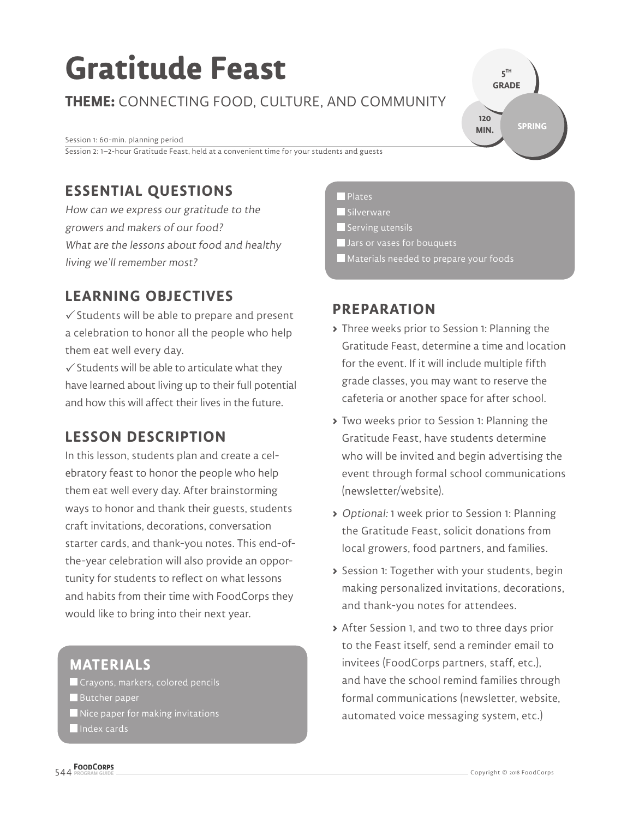# **Gratitude Feast**

**THEME:** CONNECTING FOOD, CULTURE, AND COMMUNITY

Session 1: 60-min. planning period Session 2: 1–2-hour Gratitude Feast, held at a convenient time for your students and guests

# **ESSENTIAL QUESTIONS**

How can we express our gratitude to the growers and makers of our food? What are the lessons about food and healthy living we'll remember most?

# **LEARNING OBJECTIVES**

 $\checkmark$  Students will be able to prepare and present a celebration to honor all the people who help them eat well every day.

 $\checkmark$  Students will be able to articulate what they have learned about living up to their full potential and how this will affect their lives in the future.

## **LESSON DESCRIPTION**

In this lesson, students plan and create a celebratory feast to honor the people who help them eat well every day. After brainstorming ways to honor and thank their guests, students craft invitations, decorations, conversation starter cards, and thank-you notes. This end-ofthe-year celebration will also provide an opportunity for students to reflect on what lessons and habits from their time with FoodCorps they would like to bring into their next year.

## **MATERIALS**

**Crayons, markers, colored pencils** Butcher paper  $\blacksquare$  Nice paper for making invitations Index cards

#### **Plates**

Silverware

Serving utensils

- **Jars or vases for bouquets**
- Materials needed to prepare your foods

## **PREPARATION**

**>** Three weeks prior to Session 1: Planning the Gratitude Feast, determine a time and location for the event. If it will include multiple fifth grade classes, you may want to reserve the cafeteria or another space for after school.

**5 TH GRADE** 

**120 MIN.**

**SPRING**

- **>** Two weeks prior to Session 1: Planning the Gratitude Feast, have students determine who will be invited and begin advertising the event through formal school communications (newsletter/website).
- **>** Optional: 1 week prior to Session 1: Planning the Gratitude Feast, solicit donations from local growers, food partners, and families.
- **>** Session 1: Together with your students, begin making personalized invitations, decorations, and thank-you notes for attendees.
- **>** After Session 1, and two to three days prior to the Feast itself, send a reminder email to invitees (FoodCorps partners, staff, etc.), and have the school remind families through formal communications (newsletter, website, automated voice messaging system, etc.)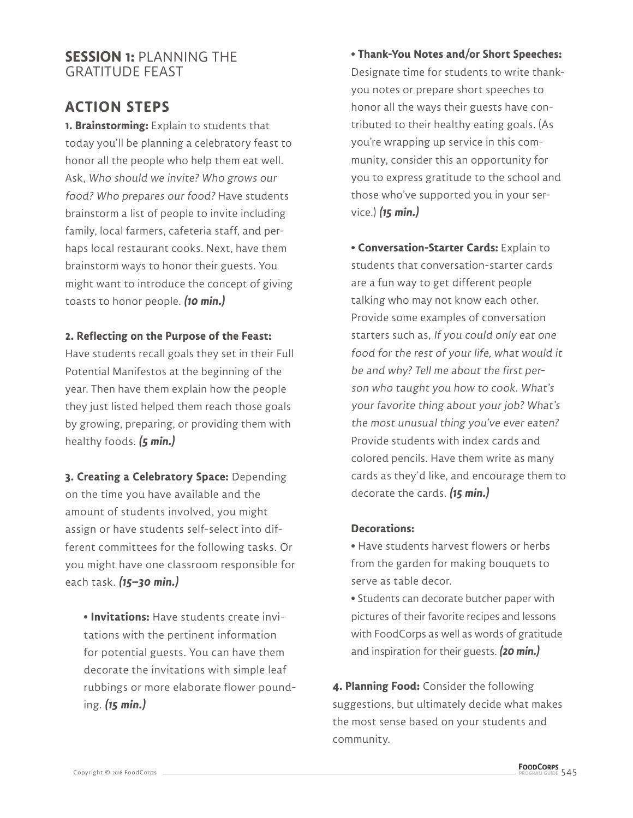### **SESSION 1:** PLANNING THE GRATITUDE FEAST

## **ACTION STEPS**

**1. Brainstorming:** Explain to students that today you'll be planning a celebratory feast to honor all the people who help them eat well. Ask, Who should we invite? Who grows our food? Who prepares our food? Have students brainstorm a list of people to invite including family, local farmers, cafeteria staff, and perhaps local restaurant cooks. Next, have them brainstorm ways to honor their guests. You might want to introduce the concept of giving toasts to honor people. **(10 min.)**

#### **2. Reflecting on the Purpose of the Feast:**

Have students recall goals they set in their Full Potential Manifestos at the beginning of the year. Then have them explain how the people they just listed helped them reach those goals by growing, preparing, or providing them with healthy foods. **(5 min.)**

**3. Creating a Celebratory Space:** Depending on the time you have available and the amount of students involved, you might assign or have students self-select into different committees for the following tasks. Or you might have one classroom responsible for each task. **(15–30 min.)**

**• Invitations:** Have students create invitations with the pertinent information for potential guests. You can have them decorate the invitations with simple leaf rubbings or more elaborate flower pounding. **(15 min.)**

**• Thank-You Notes and/or Short Speeches:** Designate time for students to write thankyou notes or prepare short speeches to honor all the ways their guests have contributed to their healthy eating goals. (As you're wrapping up service in this community, consider this an opportunity for you to express gratitude to the school and those who've supported you in your service.) **(15 min.)**

**• Conversation-Starter Cards:** Explain to students that conversation-starter cards are a fun way to get different people talking who may not know each other. Provide some examples of conversation starters such as, If you could only eat one food for the rest of your life, what would it be and why? Tell me about the first person who taught you how to cook. What's your favorite thing about your job? What's the most unusual thing you've ever eaten? Provide students with index cards and colored pencils. Have them write as many cards as they'd like, and encourage them to decorate the cards. **(15 min.)**

#### **Decorations:**

- Have students harvest flowers or herbs from the garden for making bouquets to serve as table decor.
- Students can decorate butcher paper with pictures of their favorite recipes and lessons with FoodCorps as well as words of gratitude and inspiration for their guests. **(20 min.)**

**4. Planning Food:** Consider the following suggestions, but ultimately decide what makes the most sense based on your students and community.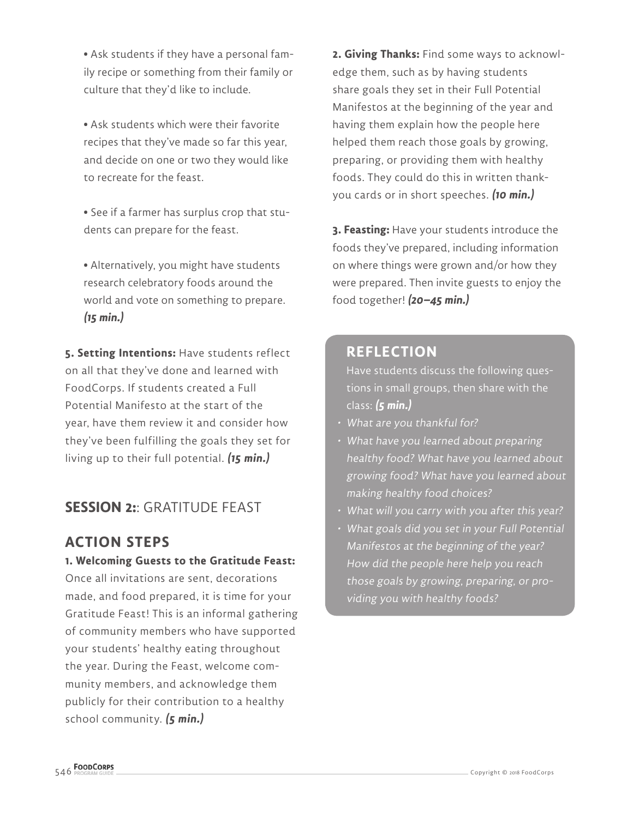**•** Ask students if they have a personal family recipe or something from their family or culture that they'd like to include.

**•** Ask students which were their favorite recipes that they've made so far this year, and decide on one or two they would like to recreate for the feast.

**•** See if a farmer has surplus crop that students can prepare for the feast.

**•** Alternatively, you might have students research celebratory foods around the world and vote on something to prepare. **(15 min.)**

**5. Setting Intentions:** Have students reflect on all that they've done and learned with FoodCorps. If students created a Full Potential Manifesto at the start of the year, have them review it and consider how they've been fulfilling the goals they set for living up to their full potential. **(15 min.)**

## **SESSION 2:**: GRATITUDE FEAST

## **ACTION STEPS**

#### **1. Welcoming Guests to the Gratitude Feast:**

Once all invitations are sent, decorations made, and food prepared, it is time for your Gratitude Feast! This is an informal gathering of community members who have supported your students' healthy eating throughout the year. During the Feast, welcome community members, and acknowledge them publicly for their contribution to a healthy school community. **(5 min.)**

**2. Giving Thanks:** Find some ways to acknowledge them, such as by having students share goals they set in their Full Potential Manifestos at the beginning of the year and having them explain how the people here helped them reach those goals by growing, preparing, or providing them with healthy foods. They could do this in written thankyou cards or in short speeches. **(10 min.)**

**3. Feasting:** Have your students introduce the foods they've prepared, including information on where things were grown and/or how they were prepared. Then invite guests to enjoy the food together! **(20–45 min.)**

#### **REFLECTION**

Have students discuss the following questions in small groups, then share with the class: **(5 min.)**

- What are you thankful for?
- What have you learned about preparing healthy food? What have you learned about growing food? What have you learned about making healthy food choices?
- What will you carry with you after this year?
- What goals did you set in your Full Potential Manifestos at the beginning of the year? How did the people here help you reach those goals by growing, preparing, or providing you with healthy foods?